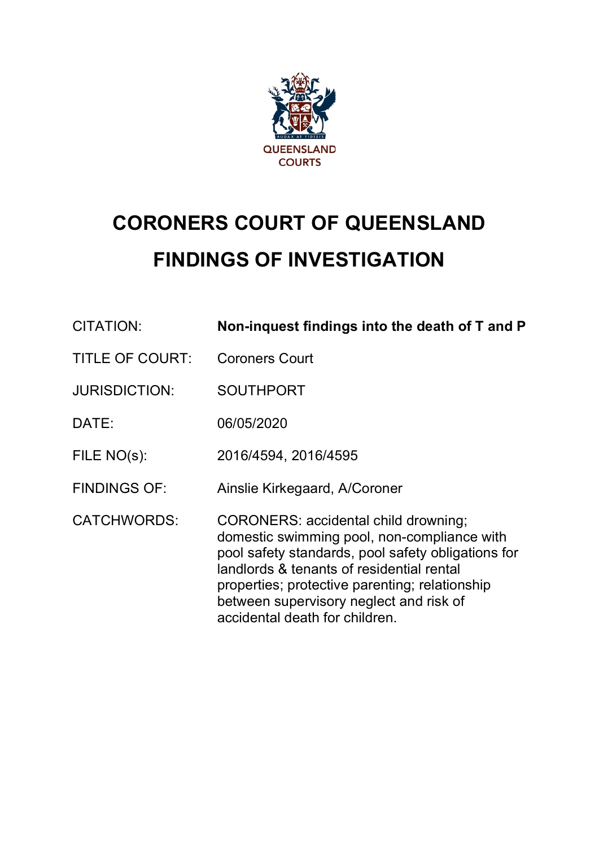

# **CORONERS COURT OF QUEENSLAND FINDINGS OF INVESTIGATION**

| CITATION:              | Non-inquest findings into the death of T and P                                                                                                                                                                                                                                                                        |
|------------------------|-----------------------------------------------------------------------------------------------------------------------------------------------------------------------------------------------------------------------------------------------------------------------------------------------------------------------|
| <b>TITLE OF COURT:</b> | <b>Coroners Court</b>                                                                                                                                                                                                                                                                                                 |
| <b>JURISDICTION:</b>   | <b>SOUTHPORT</b>                                                                                                                                                                                                                                                                                                      |
| DATE:                  | 06/05/2020                                                                                                                                                                                                                                                                                                            |
| $FILE NO(s)$ :         | 2016/4594, 2016/4595                                                                                                                                                                                                                                                                                                  |
| <b>FINDINGS OF:</b>    | Ainslie Kirkegaard, A/Coroner                                                                                                                                                                                                                                                                                         |
| <b>CATCHWORDS:</b>     | CORONERS: accidental child drowning;<br>domestic swimming pool, non-compliance with<br>pool safety standards, pool safety obligations for<br>landlords & tenants of residential rental<br>properties; protective parenting; relationship<br>between supervisory neglect and risk of<br>accidental death for children. |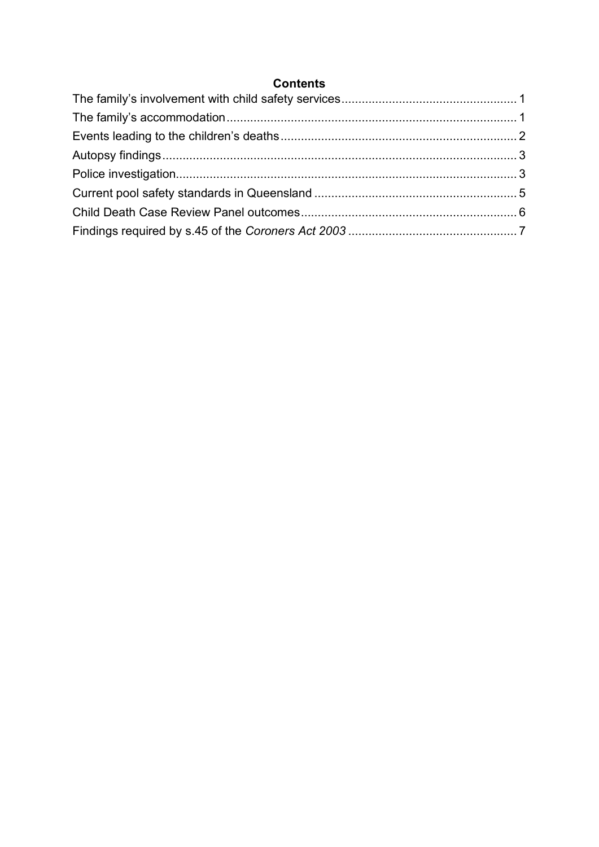# **Contents**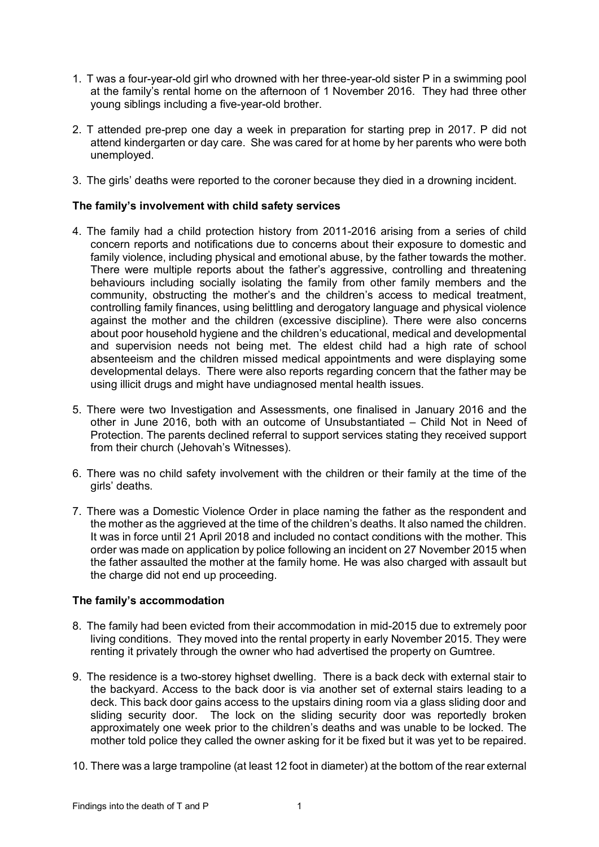- 1. T was a four-year-old girl who drowned with her three-year-old sister P in a swimming pool at the family's rental home on the afternoon of 1 November 2016. They had three other young siblings including a five-year-old brother.
- 2. T attended pre-prep one day a week in preparation for starting prep in 2017. P did not attend kindergarten or day care. She was cared for at home by her parents who were both unemployed.
- 3. The girls' deaths were reported to the coroner because they died in a drowning incident.

## <span id="page-2-0"></span>**The family's involvement with child safety services**

- 4. The family had a child protection history from 2011-2016 arising from a series of child concern reports and notifications due to concerns about their exposure to domestic and family violence, including physical and emotional abuse, by the father towards the mother. There were multiple reports about the father's aggressive, controlling and threatening behaviours including socially isolating the family from other family members and the community, obstructing the mother's and the children's access to medical treatment, controlling family finances, using belittling and derogatory language and physical violence against the mother and the children (excessive discipline). There were also concerns about poor household hygiene and the children's educational, medical and developmental and supervision needs not being met. The eldest child had a high rate of school absenteeism and the children missed medical appointments and were displaying some developmental delays. There were also reports regarding concern that the father may be using illicit drugs and might have undiagnosed mental health issues.
- 5. There were two Investigation and Assessments, one finalised in January 2016 and the other in June 2016, both with an outcome of Unsubstantiated – Child Not in Need of Protection. The parents declined referral to support services stating they received support from their church (Jehovah's Witnesses).
- 6. There was no child safety involvement with the children or their family at the time of the girls' deaths.
- 7. There was a Domestic Violence Order in place naming the father as the respondent and the mother as the aggrieved at the time of the children's deaths. It also named the children. It was in force until 21 April 2018 and included no contact conditions with the mother. This order was made on application by police following an incident on 27 November 2015 when the father assaulted the mother at the family home. He was also charged with assault but the charge did not end up proceeding.

#### <span id="page-2-1"></span>**The family's accommodation**

- 8. The family had been evicted from their accommodation in mid-2015 due to extremely poor living conditions. They moved into the rental property in early November 2015. They were renting it privately through the owner who had advertised the property on Gumtree.
- 9. The residence is a two-storey highset dwelling. There is a back deck with external stair to the backyard. Access to the back door is via another set of external stairs leading to a deck. This back door gains access to the upstairs dining room via a glass sliding door and sliding security door. The lock on the sliding security door was reportedly broken approximately one week prior to the children's deaths and was unable to be locked. The mother told police they called the owner asking for it be fixed but it was yet to be repaired.
- 10. There was a large trampoline (at least 12 foot in diameter) at the bottom of the rear external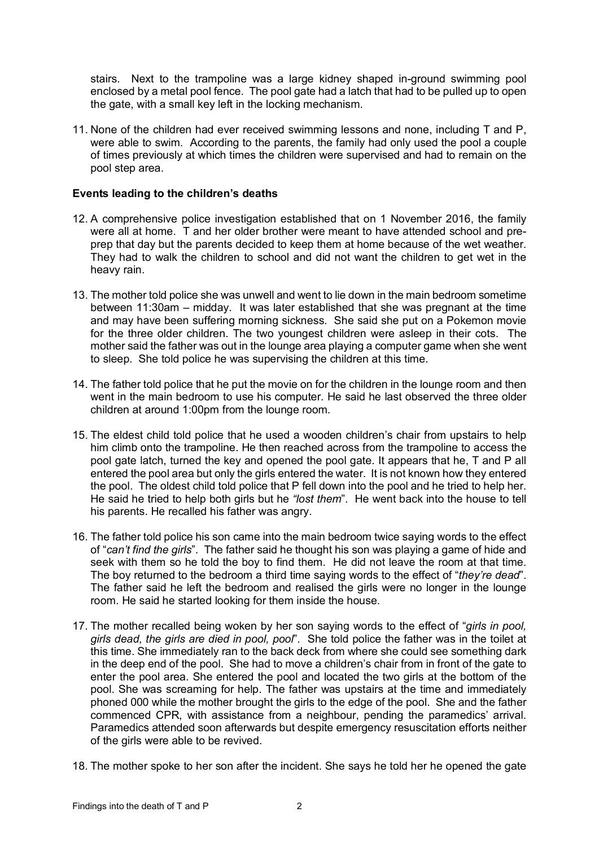stairs. Next to the trampoline was a large kidney shaped in-ground swimming pool enclosed by a metal pool fence. The pool gate had a latch that had to be pulled up to open the gate, with a small key left in the locking mechanism.

11. None of the children had ever received swimming lessons and none, including T and P, were able to swim. According to the parents, the family had only used the pool a couple of times previously at which times the children were supervised and had to remain on the pool step area.

### <span id="page-3-0"></span>**Events leading to the children's deaths**

- 12. A comprehensive police investigation established that on 1 November 2016, the family were all at home. T and her older brother were meant to have attended school and preprep that day but the parents decided to keep them at home because of the wet weather. They had to walk the children to school and did not want the children to get wet in the heavy rain.
- 13. The mother told police she was unwell and went to lie down in the main bedroom sometime between 11:30am – midday. It was later established that she was pregnant at the time and may have been suffering morning sickness. She said she put on a Pokemon movie for the three older children. The two youngest children were asleep in their cots. The mother said the father was out in the lounge area playing a computer game when she went to sleep. She told police he was supervising the children at this time.
- 14. The father told police that he put the movie on for the children in the lounge room and then went in the main bedroom to use his computer. He said he last observed the three older children at around 1:00pm from the lounge room.
- 15. The eldest child told police that he used a wooden children's chair from upstairs to help him climb onto the trampoline. He then reached across from the trampoline to access the pool gate latch, turned the key and opened the pool gate. It appears that he, T and P all entered the pool area but only the girls entered the water. It is not known how they entered the pool. The oldest child told police that P fell down into the pool and he tried to help her. He said he tried to help both girls but he *"lost them*". He went back into the house to tell his parents. He recalled his father was angry.
- 16. The father told police his son came into the main bedroom twice saying words to the effect of "*can't find the girls*". The father said he thought his son was playing a game of hide and seek with them so he told the boy to find them. He did not leave the room at that time. The boy returned to the bedroom a third time saying words to the effect of "*they're dead*". The father said he left the bedroom and realised the girls were no longer in the lounge room. He said he started looking for them inside the house.
- 17. The mother recalled being woken by her son saying words to the effect of "*girls in pool, girls dead, the girls are died in pool, pool*". She told police the father was in the toilet at this time. She immediately ran to the back deck from where she could see something dark in the deep end of the pool. She had to move a children's chair from in front of the gate to enter the pool area. She entered the pool and located the two girls at the bottom of the pool. She was screaming for help. The father was upstairs at the time and immediately phoned 000 while the mother brought the girls to the edge of the pool. She and the father commenced CPR, with assistance from a neighbour, pending the paramedics' arrival. Paramedics attended soon afterwards but despite emergency resuscitation efforts neither of the girls were able to be revived.
- 18. The mother spoke to her son after the incident. She says he told her he opened the gate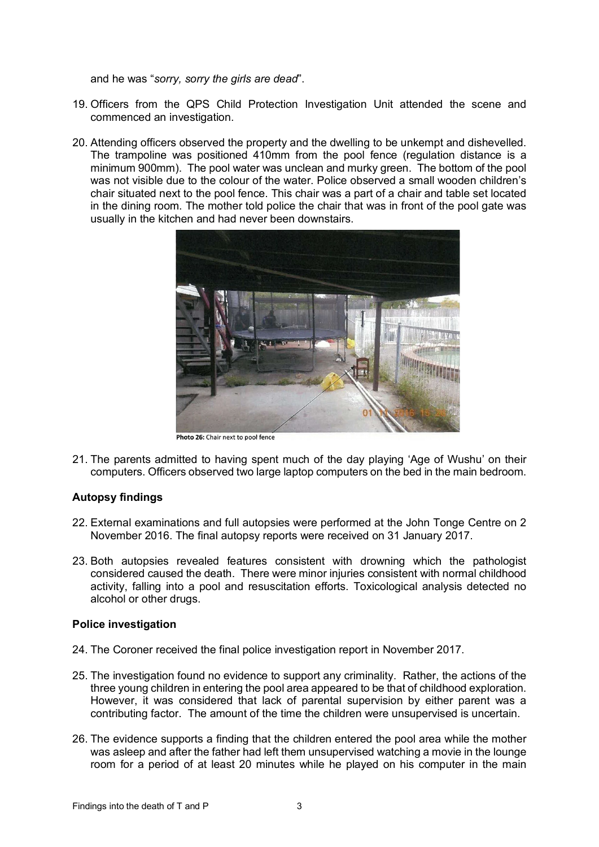and he was "*sorry, sorry the girls are dead*".

- 19. Officers from the QPS Child Protection Investigation Unit attended the scene and commenced an investigation.
- 20. Attending officers observed the property and the dwelling to be unkempt and dishevelled. The trampoline was positioned 410mm from the pool fence (regulation distance is a minimum 900mm). The pool water was unclean and murky green. The bottom of the pool was not visible due to the colour of the water. Police observed a small wooden children's chair situated next to the pool fence. This chair was a part of a chair and table set located in the dining room. The mother told police the chair that was in front of the pool gate was usually in the kitchen and had never been downstairs.



21. The parents admitted to having spent much of the day playing 'Age of Wushu' on their computers. Officers observed two large laptop computers on the bed in the main bedroom.

# <span id="page-4-0"></span>**Autopsy findings**

- 22. External examinations and full autopsies were performed at the John Tonge Centre on 2 November 2016. The final autopsy reports were received on 31 January 2017.
- 23. Both autopsies revealed features consistent with drowning which the pathologist considered caused the death. There were minor injuries consistent with normal childhood activity, falling into a pool and resuscitation efforts. Toxicological analysis detected no alcohol or other drugs.

# <span id="page-4-1"></span>**Police investigation**

- 24. The Coroner received the final police investigation report in November 2017.
- 25. The investigation found no evidence to support any criminality. Rather, the actions of the three young children in entering the pool area appeared to be that of childhood exploration. However, it was considered that lack of parental supervision by either parent was a contributing factor. The amount of the time the children were unsupervised is uncertain.
- 26. The evidence supports a finding that the children entered the pool area while the mother was asleep and after the father had left them unsupervised watching a movie in the lounge room for a period of at least 20 minutes while he played on his computer in the main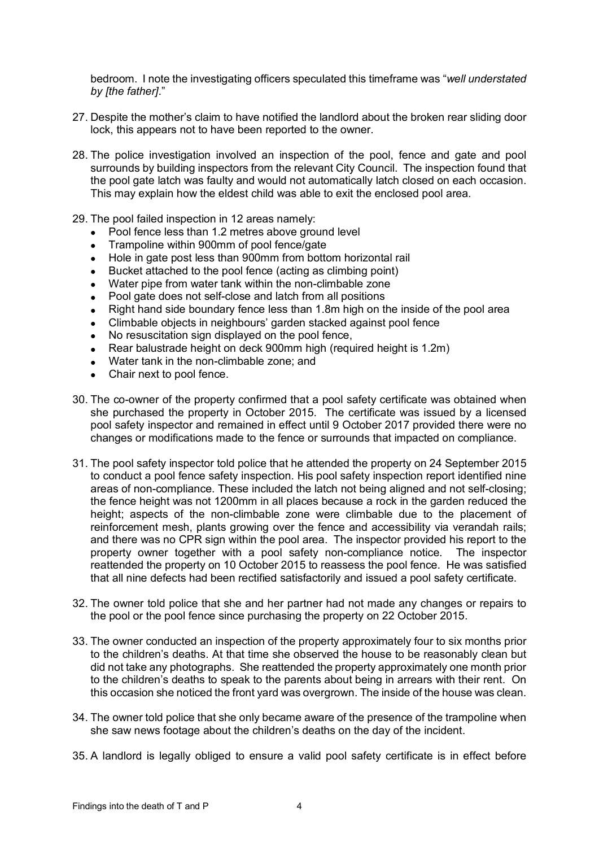bedroom. I note the investigating officers speculated this timeframe was "*well understated by [the father]*."

- 27. Despite the mother's claim to have notified the landlord about the broken rear sliding door lock, this appears not to have been reported to the owner.
- 28. The police investigation involved an inspection of the pool, fence and gate and pool surrounds by building inspectors from the relevant City Council. The inspection found that the pool gate latch was faulty and would not automatically latch closed on each occasion. This may explain how the eldest child was able to exit the enclosed pool area.
- 29. The pool failed inspection in 12 areas namely:
	- Pool fence less than 1.2 metres above ground level
	- Trampoline within 900mm of pool fence/gate
	- Hole in gate post less than 900mm from bottom horizontal rail
	- Bucket attached to the pool fence (acting as climbing point)
	- Water pipe from water tank within the non-climbable zone
	- Pool gate does not self-close and latch from all positions
	- Right hand side boundary fence less than 1.8m high on the inside of the pool area
	- Climbable objects in neighbours' garden stacked against pool fence
	- No resuscitation sign displayed on the pool fence,
	- Rear balustrade height on deck 900mm high (required height is 1.2m)
	- Water tank in the non-climbable zone; and
	- Chair next to pool fence.
- 30. The co-owner of the property confirmed that a pool safety certificate was obtained when she purchased the property in October 2015. The certificate was issued by a licensed pool safety inspector and remained in effect until 9 October 2017 provided there were no changes or modifications made to the fence or surrounds that impacted on compliance.
- 31. The pool safety inspector told police that he attended the property on 24 September 2015 to conduct a pool fence safety inspection. His pool safety inspection report identified nine areas of non-compliance. These included the latch not being aligned and not self-closing; the fence height was not 1200mm in all places because a rock in the garden reduced the height; aspects of the non-climbable zone were climbable due to the placement of reinforcement mesh, plants growing over the fence and accessibility via verandah rails; and there was no CPR sign within the pool area. The inspector provided his report to the property owner together with a pool safety non-compliance notice. The inspector reattended the property on 10 October 2015 to reassess the pool fence. He was satisfied that all nine defects had been rectified satisfactorily and issued a pool safety certificate.
- 32. The owner told police that she and her partner had not made any changes or repairs to the pool or the pool fence since purchasing the property on 22 October 2015.
- 33. The owner conducted an inspection of the property approximately four to six months prior to the children's deaths. At that time she observed the house to be reasonably clean but did not take any photographs. She reattended the property approximately one month prior to the children's deaths to speak to the parents about being in arrears with their rent. On this occasion she noticed the front yard was overgrown. The inside of the house was clean.
- 34. The owner told police that she only became aware of the presence of the trampoline when she saw news footage about the children's deaths on the day of the incident.
- 35. A landlord is legally obliged to ensure a valid pool safety certificate is in effect before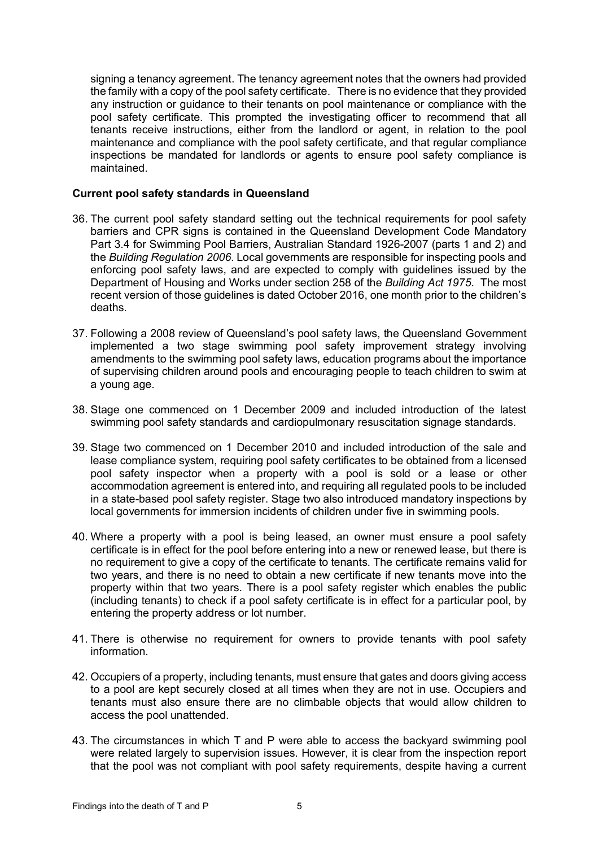signing a tenancy agreement. The tenancy agreement notes that the owners had provided the family with a copy of the pool safety certificate. There is no evidence that they provided any instruction or guidance to their tenants on pool maintenance or compliance with the pool safety certificate. This prompted the investigating officer to recommend that all tenants receive instructions, either from the landlord or agent, in relation to the pool maintenance and compliance with the pool safety certificate, and that regular compliance inspections be mandated for landlords or agents to ensure pool safety compliance is maintained.

### <span id="page-6-0"></span>**Current pool safety standards in Queensland**

- 36. The current pool safety standard setting out the technical requirements for pool safety barriers and CPR signs is contained in the Queensland Development Code Mandatory Part 3.4 for Swimming Pool Barriers, Australian Standard 1926-2007 (parts 1 and 2) and the *Building Regulation 2006*. Local governments are responsible for inspecting pools and enforcing pool safety laws, and are expected to comply with guidelines issued by the Department of Housing and Works under section 258 of the *Building Act 1975*. The most recent version of those guidelines is dated October 2016, one month prior to the children's deaths.
- 37. Following a 2008 review of Queensland's pool safety laws, the Queensland Government implemented a two stage swimming pool safety improvement strategy involving amendments to the swimming pool safety laws, education programs about the importance of supervising children around pools and encouraging people to teach children to swim at a young age.
- 38. Stage one commenced on 1 December 2009 and included introduction of the latest swimming pool safety standards and cardiopulmonary resuscitation signage standards.
- 39. Stage two commenced on 1 December 2010 and included introduction of the sale and lease compliance system, requiring pool safety certificates to be obtained from a licensed pool safety inspector when a property with a pool is sold or a lease or other accommodation agreement is entered into, and requiring all regulated pools to be included in a state-based pool safety register. Stage two also introduced mandatory inspections by local governments for immersion incidents of children under five in swimming pools.
- 40. Where a property with a pool is being leased, an owner must ensure a pool safety certificate is in effect for the pool before entering into a new or renewed lease, but there is no requirement to give a copy of the certificate to tenants. The certificate remains valid for two years, and there is no need to obtain a new certificate if new tenants move into the property within that two years. There is a pool safety register which enables the public (including tenants) to check if a pool safety certificate is in effect for a particular pool, by entering the property address or lot number.
- 41. There is otherwise no requirement for owners to provide tenants with pool safety information.
- 42. Occupiers of a property, including tenants, must ensure that gates and doors giving access to a pool are kept securely closed at all times when they are not in use. Occupiers and tenants must also ensure there are no climbable objects that would allow children to access the pool unattended.
- 43. The circumstances in which T and P were able to access the backyard swimming pool were related largely to supervision issues. However, it is clear from the inspection report that the pool was not compliant with pool safety requirements, despite having a current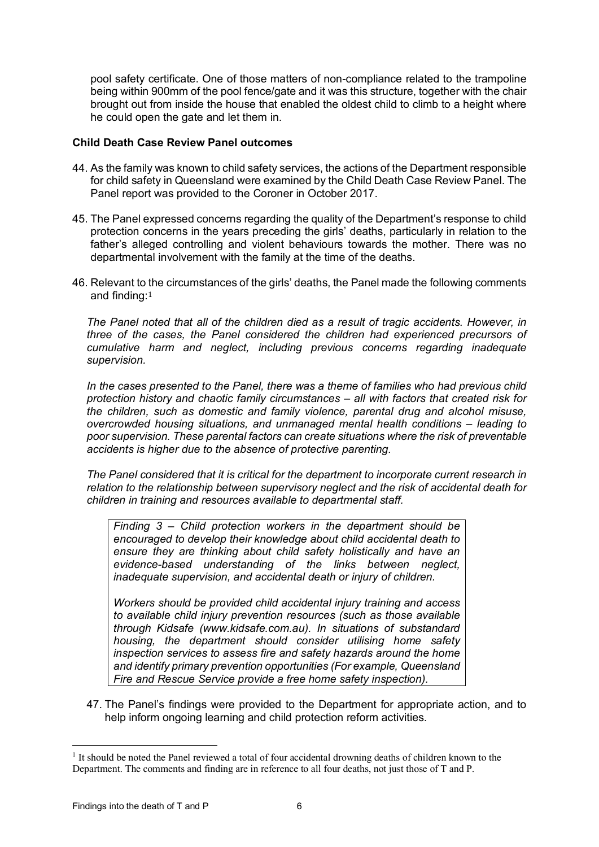pool safety certificate. One of those matters of non-compliance related to the trampoline being within 900mm of the pool fence/gate and it was this structure, together with the chair brought out from inside the house that enabled the oldest child to climb to a height where he could open the gate and let them in.

# <span id="page-7-0"></span>**Child Death Case Review Panel outcomes**

- 44. As the family was known to child safety services, the actions of the Department responsible for child safety in Queensland were examined by the Child Death Case Review Panel. The Panel report was provided to the Coroner in October 2017.
- 45. The Panel expressed concerns regarding the quality of the Department's response to child protection concerns in the years preceding the girls' deaths, particularly in relation to the father's alleged controlling and violent behaviours towards the mother. There was no departmental involvement with the family at the time of the deaths.
- 46. Relevant to the circumstances of the girls' deaths, the Panel made the following comments and finding:[1](#page-7-1)

*The Panel noted that all of the children died as a result of tragic accidents. However, in three of the cases, the Panel considered the children had experienced precursors of cumulative harm and neglect, including previous concerns regarding inadequate supervision.* 

*In the cases presented to the Panel, there was a theme of families who had previous child protection history and chaotic family circumstances – all with factors that created risk for the children, such as domestic and family violence, parental drug and alcohol misuse, overcrowded housing situations, and unmanaged mental health conditions – leading to poor supervision. These parental factors can create situations where the risk of preventable accidents is higher due to the absence of protective parenting.* 

*The Panel considered that it is critical for the department to incorporate current research in relation to the relationship between supervisory neglect and the risk of accidental death for children in training and resources available to departmental staff.*

*Finding 3 – Child protection workers in the department should be encouraged to develop their knowledge about child accidental death to ensure they are thinking about child safety holistically and have an evidence-based understanding of the links between neglect, inadequate supervision, and accidental death or injury of children.* 

*Workers should be provided child accidental injury training and access to available child injury prevention resources (such as those available through Kidsafe (www.kidsafe.com.au). In situations of substandard housing, the department should consider utilising home safety inspection services to assess fire and safety hazards around the home and identify primary prevention opportunities (For example, Queensland Fire and Rescue Service provide a free home safety inspection).*

47. The Panel's findings were provided to the Department for appropriate action, and to help inform ongoing learning and child protection reform activities.

<span id="page-7-1"></span><sup>1</sup> It should be noted the Panel reviewed a total of four accidental drowning deaths of children known to the Department. The comments and finding are in reference to all four deaths, not just those of T and P.